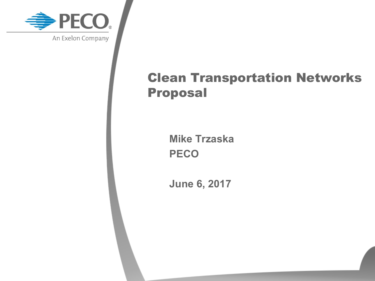

# Clean Transportation Networks Proposal

**Mike Trzaska PECO**

**June 6, 2017**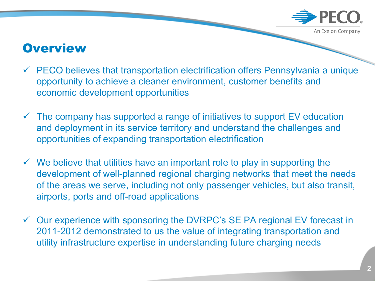

#### **Overview**

- $\checkmark$  PECO believes that transportation electrification offers Pennsylvania a unique opportunity to achieve a cleaner environment, customer benefits and economic development opportunities
- $\checkmark$  The company has supported a range of initiatives to support EV education and deployment in its service territory and understand the challenges and opportunities of expanding transportation electrification
- $\checkmark$  We believe that utilities have an important role to play in supporting the development of well-planned regional charging networks that meet the needs of the areas we serve, including not only passenger vehicles, but also transit, airports, ports and off-road applications
- $\checkmark$  Our experience with sponsoring the DVRPC's SE PA regional EV forecast in 2011-2012 demonstrated to us the value of integrating transportation and utility infrastructure expertise in understanding future charging needs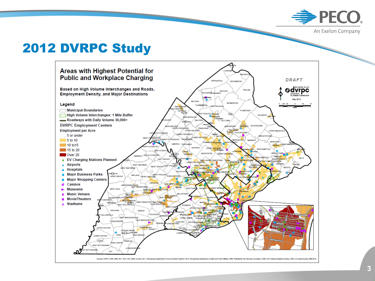

#### 2012 DVRPC Study



**3**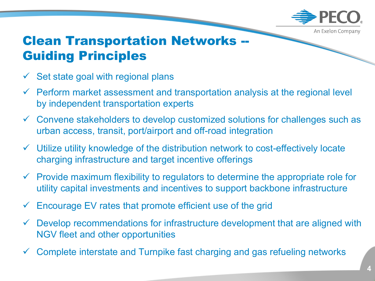

## Clean Transportation Networks -- Guiding Principles

- Set state goal with regional plans
- $\checkmark$  Perform market assessment and transportation analysis at the regional level by independent transportation experts
- $\checkmark$  Convene stakeholders to develop customized solutions for challenges such as urban access, transit, port/airport and off-road integration
- $\checkmark$  Utilize utility knowledge of the distribution network to cost-effectively locate charging infrastructure and target incentive offerings
- $\checkmark$  Provide maximum flexibility to regulators to determine the appropriate role for utility capital investments and incentives to support backbone infrastructure
- ü Encourage EV rates that promote efficient use of the grid
- $\checkmark$  Develop recommendations for infrastructure development that are aligned with NGV fleet and other opportunities
- Complete interstate and Turnpike fast charging and gas refueling networks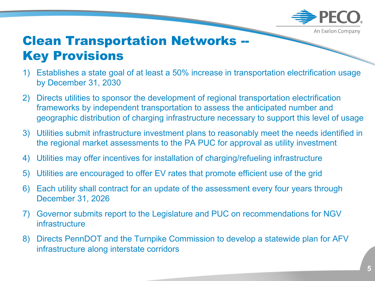

## Clean Transportation Networks -- **Key Provisions**

- 1) Establishes a state goal of at least a 50% increase in transportation electrification usage by December 31, 2030
- 2) Directs utilities to sponsor the development of regional transportation electrification frameworks by independent transportation to assess the anticipated number and geographic distribution of charging infrastructure necessary to support this level of usage
- 3) Utilities submit infrastructure investment plans to reasonably meet the needs identified in the regional market assessments to the PA PUC for approval as utility investment
- 4) Utilities may offer incentives for installation of charging/refueling infrastructure
- 5) Utilities are encouraged to offer EV rates that promote efficient use of the grid
- 6) Each utility shall contract for an update of the assessment every four years through December 31, 2026
- 7) Governor submits report to the Legislature and PUC on recommendations for NGV infrastructure
- 8) Directs PennDOT and the Turnpike Commission to develop a statewide plan for AFV infrastructure along interstate corridors